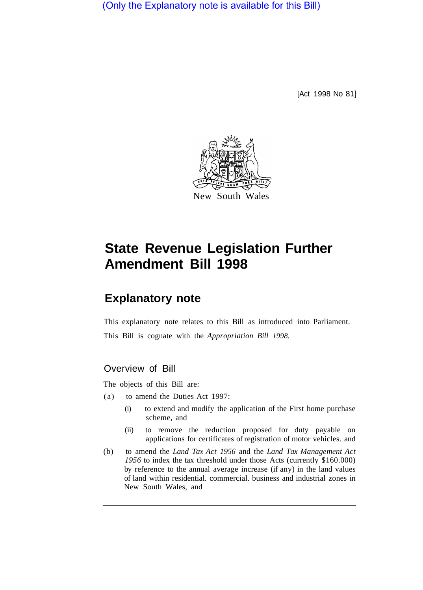(Only the Explanatory note is available for this Bill)

[Act 1998 No 81]



# **State Revenue Legislation Further Amendment Bill 1998**

## **Explanatory note**

This explanatory note relates to this Bill as introduced into Parliament. This Bill is cognate with the *Appropriation Bill 1998.* 

### Overview of Bill

The objects of this Bill are:

- (a) to amend the Duties Act 1997:
	- (i) to extend and modify the application of the First home purchase scheme, and
	- (ii) to remove the reduction proposed for duty payable on applications for certificates of registration of motor vehicles. and
- (b) to amend the *Land Tax Act 1956* and the *Land Tax Management Act 1956* to index the tax threshold under those Acts (currently \$160.000) by reference to the annual average increase (if any) in the land values of land within residential. commercial. business and industrial zones in New South Wales, and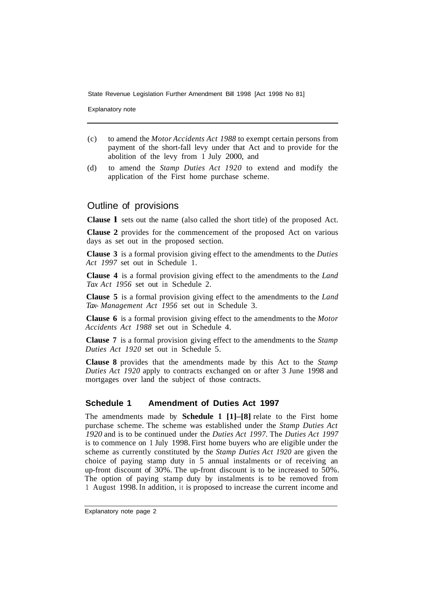State Revenue Legislation Further Amendment Bill 1998 [Act 1998 No 81]

Explanatory note

- (c) to amend the *Motor Accidents Act 1988* to exempt certain persons from payment of the short-fall levy under that Act and to provide for the abolition of the levy from 1 July 2000, and
- (d) to amend the *Stamp Duties Act 1920* to extend and modify the application of the First home purchase scheme.

#### Outline of provisions

**Clause l** sets out the name (also called the short title) of the proposed Act.

**Clause 2** provides for the commencement of the proposed Act on various days as set out in the proposed section.

**Clause 3** is a formal provision giving effect to the amendments to the *Duties Act 1997* set out in Schedule 1.

**Clause 4** is a formal provision giving effect to the amendments to the *Land Tax Act 1956* set out in Schedule 2.

**Clause 5** is a formal provision giving effect to the amendments to the *Land Tax- Management Act 1956* set out in Schedule 3.

**Clause 6** is a formal provision giving effect to the amendments to the *Motor Accidents Act 1988* set out in Schedule 4.

**Clause 7** is a formal provision giving effect to the amendments to the *Stamp Duties Act 1920* set out in Schedule 5.

**Clause 8** provides that the amendments made by this Act to the *Stamp Duties Act 1920* apply to contracts exchanged on or after 3 June 1998 and mortgages over land the subject of those contracts.

#### **Schedule 1 Amendment of Duties Act 1997**

The amendments made by **Schedule 1 [1]–[8]** relate to the First home purchase scheme. The scheme was established under the *Stamp Duties Act 1920* and is to be continued under the *Duties Act 1997.* The *Duties Act 1997*  is to commence on 1 July 1998. First home buyers who are eligible under the scheme as currently constituted by the *Stamp Duties Act 1920* are given the choice of paying stamp duty in 5 annual instalments or of receiving an up-front discount of 30%. The up-front discount is to be increased to 50%. The option of paying stamp duty by instalments is to be removed from 1 August 1998. In addition, it is proposed to increase the current income and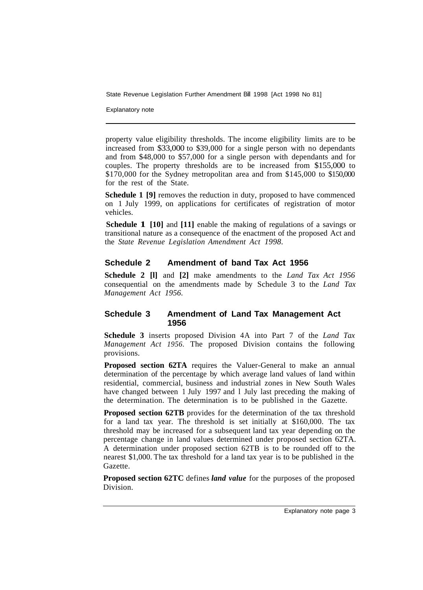State Revenue Legislation Further Amendment Bill 1998 [Act 1998 No 81]

Explanatory note

property value eligibility thresholds. The income eligibility limits are to be increased from \$33,000 to \$39,000 for a single person with no dependants and from \$48,000 to \$57,000 for a single person with dependants and for couples. The property thresholds are to be increased from \$155,000 to \$170,000 for the Sydney metropolitan area and from \$145,000 to \$150,000 for the rest of the State.

**Schedule 1 [9]** removes the reduction in duty, proposed to have commenced on 1 July 1999, on applications for certificates of registration of motor vehicles.

**Schedule 1 [10] and [11] enable the making of regulations of a savings or** transitional nature as a consequence of the enactment of the proposed Act and the *State Revenue Legislation Amendment Act 1998.* 

#### **Schedule 2 Amendment of band Tax Act 1956**

**Schedule 2 [l]** and **[2]** make amendments to the *Land Tax Act 1956*  consequential on the amendments made by Schedule 3 to the *Land Tax Management Act 1956.* 

#### **Schedule 3 Amendment of Land Tax Management Act 1956**

**Schedule 3** inserts proposed Division 4A into Part 7 of the *Land Tax Management Act 1956.* The proposed Division contains the following provisions.

**Proposed section 62TA** requires the Valuer-General to make an annual determination of the percentage by which average land values of land within residential, commercial, business and industrial zones in New South Wales have changed between 1 July 1997 and l July last preceding the making of the determination. The determination is to be published in the Gazette.

**Proposed section 62TB** provides for the determination of the tax threshold for a land tax year. The threshold is set initially at \$160,000. The tax threshold may be increased for a subsequent land tax year depending on the percentage change in land values determined under proposed section 62TA. A determination under proposed section 62TB is to be rounded off to the nearest \$1,000. The tax threshold for a land tax year is to be published in the Gazette.

**Proposed section 62TC** defines *land value* for the purposes of the proposed Division.